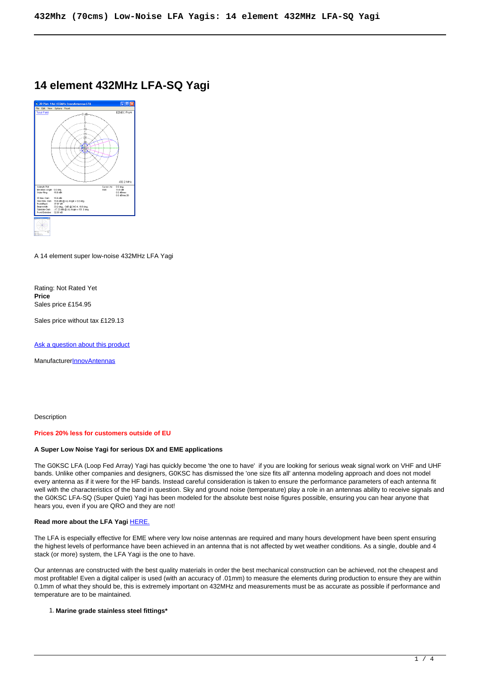# **14 element 432MHz LFA-SQ Yagi**



A 14 element super low-noise 432MHz LFA Yagi

Rating: Not Rated Yet **Price**  Sales price £154.95

Sales price without tax £129.13

[Ask a question about this product](https://innovantennas.com/index.php?option=com_virtuemart&view=productdetails&task=askquestion&virtuemart_product_id=91&virtuemart_category_id=13&tmpl=component)

**Manufacturer[InnovAntennas](https://innovantennas.com/index.php?option=com_virtuemart&view=manufacturer&virtuemart_manufacturer_id=1&tmpl=component)** 

**Description** 

### **Prices 20% less for customers outside of EU**

### **A Super Low Noise Yagi for serious DX and EME applications**

The G0KSC LFA (Loop Fed Array) Yagi has quickly become 'the one to have' if you are looking for serious weak signal work on VHF and UHF bands. Unlike other companies and designers, G0KSC has dismissed the 'one size fits all' antenna modeling approach and does not model every antenna as if it were for the HF bands. Instead careful consideration is taken to ensure the performance parameters of each antenna fit well with the characteristics of the band in question. Sky and ground noise (temperature) play a role in an antennas ability to receive signals and the G0KSC LFA-SQ (Super Quiet) Yagi has been modeled for the absolute best noise figures possible, ensuring you can hear anyone that hears you, even if you are QRO and they are not!

### **Read more about the LFA Yagi [HERE.](http://www.innovantennas.com/lfa-benefits.html)**

The LFA is especially effective for EME where very low noise antennas are required and many hours development have been spent ensuring the highest levels of performance have been achieved in an antenna that is not affected by wet weather conditions. As a single, double and 4 stack (or more) system, the LFA Yagi is the one to have.

Our antennas are constructed with the best quality materials in order the best mechanical construction can be achieved, not the cheapest and most profitable! Even a digital caliper is used (with an accuracy of .01mm) to measure the elements during production to ensure they are within 0.1mm of what they should be, this is extremely important on 432MHz and measurements must be as accurate as possible if performance and temperature are to be maintained.

### 1. **Marine grade stainless steel fittings\***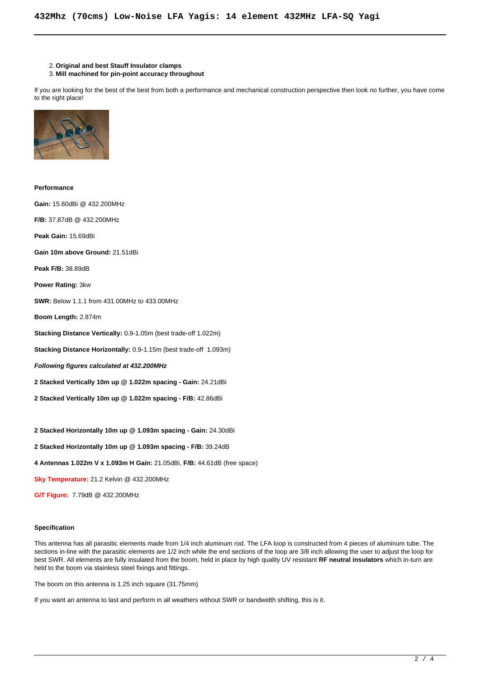- 2. **Original and best Stauff Insulator clamps**
- 3. **Mill machined for pin-point accuracy throughout**

If you are looking for the best of the best from both a performance and mechanical construction perspective then look no further, you have come to the right place!



**Performance Gain:** 15.60dBi @ 432.200MHz **F/B:** 37.87dB @ 432.200MHz **Peak Gain:** 15.69dBi **Gain 10m above Ground:** 21.51dBi **Peak F/B:** 38.89dB **Power Rating:** 3kw **SWR:** Below 1.1.1 from 431.00MHz to 433.00MHz **Boom Length:** 2.874m **Stacking Distance Vertically:** 0.9-1.05m (best trade-off 1.022m) **Stacking Distance Horizontally:** 0.9-1.15m (best trade-off 1.093m) **Following figures calculated at 432.200MHz 2 Stacked Vertically 10m up @ 1.022m spacing - Gain:** 24.21dBi **2 Stacked Vertically 10m up @ 1.022m spacing - F/B:** 42.86dBi **2 Stacked Horizontally 10m up @ 1.093m spacing - Gain:** 24.30dBi **2 Stacked Horizontally 10m up @ 1.093m spacing - F/B:** 39.24dB

**4 Antennas 1.022m V x 1.093m H Gain:** 21.05dBi, **F/B:** 44.61dB (free space)

**Sky Temperature:** 21.2 Kelvin @ 432.200MHz

**G/T Figure:** 7.79dB @ 432.200MHz

### **Specification**

This antenna has all parasitic elements made from 1/4 inch aluminum rod. The LFA loop is constructed from 4 pieces of aluminum tube. The sections in-line with the parasitic elements are 1/2 inch while the end sections of the loop are 3/8 inch allowing the user to adjust the loop for best SWR. All elements are fully insulated from the boom, held in place by high quality UV resistant **RF neutral insulators** which in-turn are held to the boom via stainless steel fixings and fittings.

The boom on this antenna is 1.25 inch square (31.75mm)

If you want an antenna to last and perform in all weathers without SWR or bandwidth shifting, this is it.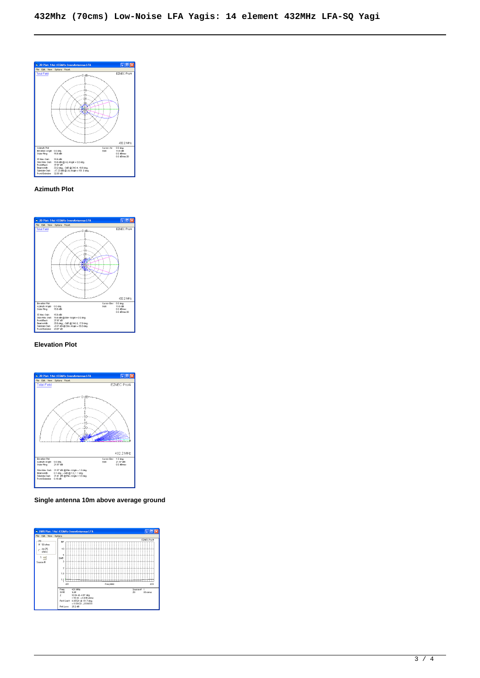

# **Azimuth Plot**



# **Elevation Plot**



**Single antenna 10m above average ground**